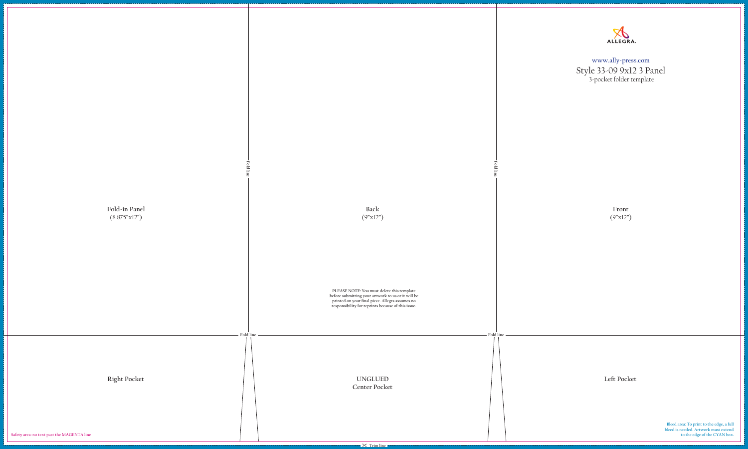**Front** (9"x12")



**Fold line**

**PLEASE NOTE: You must delete this template before submitting your artwork to us or it will be printed on your final piece. Allegra assumes no responsibility for reprints because of this issue.**





**Bleed area: To print to the edge, a full bleed is needed. Artwork must extend to the edge of the CYAN box.** 

**www.ally-press.com** Style 33-09 9x12 3 Panel 3-pocket folder template

**Center Pocket**